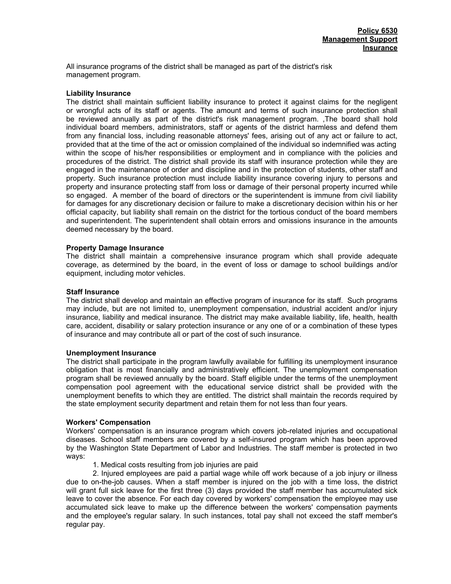All insurance programs of the district shall be managed as part of the district's risk management program.

# **Liability Insurance**

The district shall maintain sufficient liability insurance to protect it against claims for the negligent or wrongful acts of its staff or agents. The amount and terms of such insurance protection shall be reviewed annually as part of the district's risk management program. ,The board shall hold individual board members, administrators, staff or agents of the district harmless and defend them from any financial loss, including reasonable attorneys' fees, arising out of any act or failure to act, provided that at the time of the act or omission complained of the individual so indemnified was acting within the scope of his/her responsibilities or employment and in compliance with the policies and procedures of the district. The district shall provide its staff with insurance protection while they are engaged in the maintenance of order and discipline and in the protection of students, other staff and property. Such insurance protection must include liability insurance covering injury to persons and property and insurance protecting staff from loss or damage of their personal property incurred while so engaged. A member of the board of directors or the superintendent is immune from civil liability for damages for any discretionary decision or failure to make a discretionary decision within his or her official capacity, but liability shall remain on the district for the tortious conduct of the board members and superintendent. The superintendent shall obtain errors and omissions insurance in the amounts deemed necessary by the board.

# **Property Damage Insurance**

The district shall maintain a comprehensive insurance program which shall provide adequate coverage, as determined by the board, in the event of loss or damage to school buildings and/or equipment, including motor vehicles.

## **Staff Insurance**

The district shall develop and maintain an effective program of insurance for its staff. Such programs may include, but are not limited to, unemployment compensation, industrial accident and/or injury insurance, liability and medical insurance. The district may make available liability, life, health, health care, accident, disability or salary protection insurance or any one of or a combination of these types of insurance and may contribute all or part of the cost of such insurance.

## **Unemployment Insurance**

The district shall participate in the program lawfully available for fulfilling its unemployment insurance obligation that is most financially and administratively efficient. The unemployment compensation program shall be reviewed annually by the board. Staff eligible under the terms of the unemployment compensation pool agreement with the educational service district shall be provided with the unemployment benefits to which they are entitled. The district shall maintain the records required by the state employment security department and retain them for not less than four years.

#### **Workers' Compensation**

Workers' compensation is an insurance program which covers job-related injuries and occupational diseases. School staff members are covered by a self-insured program which has been approved by the Washington State Department of Labor and Industries. The staff member is protected in two ways:

1. Medical costs resulting from job injuries are paid

2. Injured employees are paid a partial wage while off work because of a job injury or illness due to on-the-job causes. When a staff member is injured on the job with a time loss, the district will grant full sick leave for the first three (3) days provided the staff member has accumulated sick leave to cover the absence. For each day covered by workers' compensation the employee may use accumulated sick leave to make up the difference between the workers' compensation payments and the employee's regular salary. In such instances, total pay shall not exceed the staff member's regular pay.